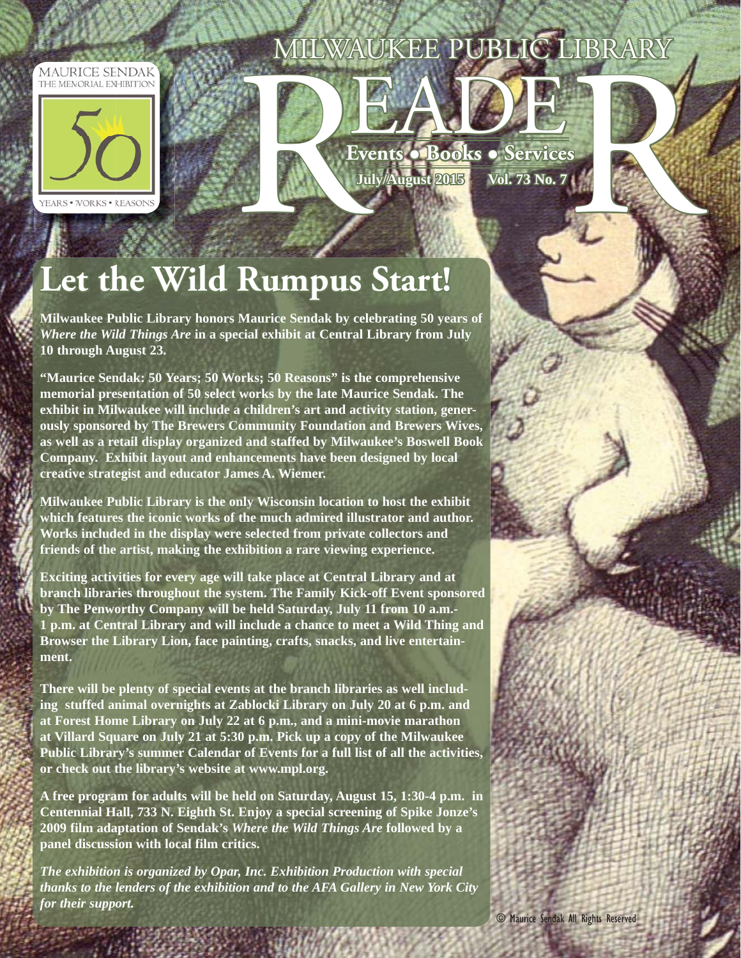## MILWAUKEE PUBLIC LIBRARY







# Let the Wild Rumpus Start!

**Milwaukee Public Library honors Maurice Sendak by celebrating 50 years of**  *Where the Wild Things Are* **in a special exhibit at Central Library from July 10 through August 23.**

**"Maurice Sendak: 50 Years; 50 Works; 50 Reasons" is the comprehensive memorial presentation of 50 select works by the late Maurice Sendak. The exhibit in Milwaukee will include a children's art and activity station, generously sponsored by The Brewers Community Foundation and Brewers Wives, as well as a retail display organized and staffed by Milwaukee's Boswell Book Company. Exhibit layout and enhancements have been designed by local creative strategist and educator James A. Wiemer.**

**Milwaukee Public Library is the only Wisconsin location to host the exhibit which features the iconic works of the much admired illustrator and author. Works included in the display were selected from private collectors and friends of the artist, making the exhibition a rare viewing experience.**

**Exciting activities for every age will take place at Central Library and at branch libraries throughout the system. The Family Kick-off Event sponsored by The Penworthy Company will be held Saturday, July 11 from 10 a.m.- 1 p.m. at Central Library and will include a chance to meet a Wild Thing and Browser the Library Lion, face painting, crafts, snacks, and live entertainment.** 

**There will be plenty of special events at the branch libraries as well including stuffed animal overnights at Zablocki Library on July 20 at 6 p.m. and at Forest Home Library on July 22 at 6 p.m., and a mini-movie marathon at Villard Square on July 21 at 5:30 p.m. Pick up a copy of the Milwaukee Public Library's summer Calendar of Events for a full list of all the activities, or check out the library's website at www.mpl.org.**

**A free program for adults will be held on Saturday, August 15, 1:30-4 p.m. in Centennial Hall, 733 N. Eighth St. Enjoy a special screening of Spike Jonze's 2009 film adaptation of Sendak's** *Where the Wild Things Are* **followed by a panel discussion with local film critics.**

*The exhibition is organized by Opar, Inc. Exhibition Production with special thanks to the lenders of the exhibition and to the AFA Gallery in New York City for their support.*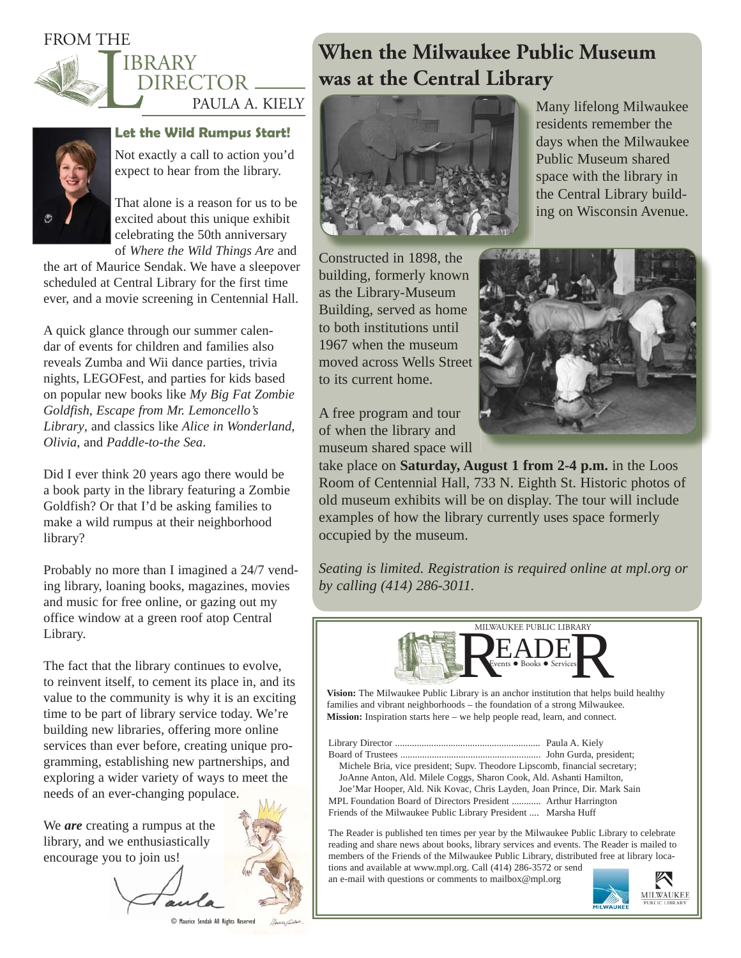### FROM THE



#### **IBRARY** DIRECTOR \_\_  $\sim$ PAULA A. KIELY



#### **Let the Wild Rumpus Start!**

Not exactly a call to action you'd expect to hear from the library.

That alone is a reason for us to be excited about this unique exhibit celebrating the 50th anniversary of *Where the Wild Things Are* and

the art of Maurice Sendak. We have a sleepover scheduled at Central Library for the first time ever, and a movie screening in Centennial Hall.

A quick glance through our summer calendar of events for children and families also reveals Zumba and Wii dance parties, trivia nights, LEGOFest, and parties for kids based on popular new books like *My Big Fat Zombie Goldfish*, *Escape from Mr. Lemoncello's Library*, and classics like *Alice in Wonderland*, *Olivia*, and *Paddle-to-the Sea*.

Did I ever think 20 years ago there would be a book party in the library featuring a Zombie Goldfish? Or that I'd be asking families to make a wild rumpus at their neighborhood library?

Probably no more than I imagined a 24/7 vending library, loaning books, magazines, movies and music for free online, or gazing out my office window at a green roof atop Central Library.

The fact that the library continues to evolve, to reinvent itself, to cement its place in, and its value to the community is why it is an exciting time to be part of library service today. We're building new libraries, offering more online services than ever before, creating unique programming, establishing new partnerships, and exploring a wider variety of ways to meet the needs of an ever-changing populace.

We *are* creating a rumpus at the library, and we enthusiastically encourage you to join us!



© Maurice Sendak All Rights Reserved

**When the Milwaukee Public Museum was at the Central Library**



Many lifelong Milwaukee residents remember the days when the Milwaukee Public Museum shared space with the library in the Central Library building on Wisconsin Avenue.

Constructed in 1898, the building, formerly known as the Library-Museum Building, served as home to both institutions until 1967 when the museum moved across Wells Street to its current home.



A free program and tour of when the library and museum shared space will

take place on **Saturday, August 1 from 2-4 p.m.** in the Loos Room of Centennial Hall, 733 N. Eighth St. Historic photos of old museum exhibits will be on display. The tour will include examples of how the library currently uses space formerly occupied by the museum.

*Seating is limited. Registration is required online at mpl.org or by calling (414) 286-3011.* 



**Vision:** The Milwaukee Public Library is an anchor institution that helps build healthy families and vibrant neighborhoods – the foundation of a strong Milwaukee. **Mission:** Inspiration starts here – we help people read, learn, and connect.

Library Director ............................................................ Paula A. Kiely Board of Trustees .......................................................... John Gurda, president; Michele Bria, vice president; Supv. Theodore Lipscomb, financial secretary; JoAnne Anton, Ald. Milele Coggs, Sharon Cook, Ald. Ashanti Hamilton, Joe'Mar Hooper, Ald. Nik Kovac, Chris Layden, Joan Prince, Dir. Mark Sain MPL Foundation Board of Directors President ............ Arthur Harrington Friends of the Milwaukee Public Library President .... Marsha Huff

The Reader is published ten times per year by the Milwaukee Public Library to celebrate reading and share news about books, library services and events. The Reader is mailed to members of the Friends of the Milwaukee Public Library, distributed free at library locations and available at www.mpl.org. Call (414) 286-3572 or send

an e-mail with questions or comments to mailbox@mpl.org

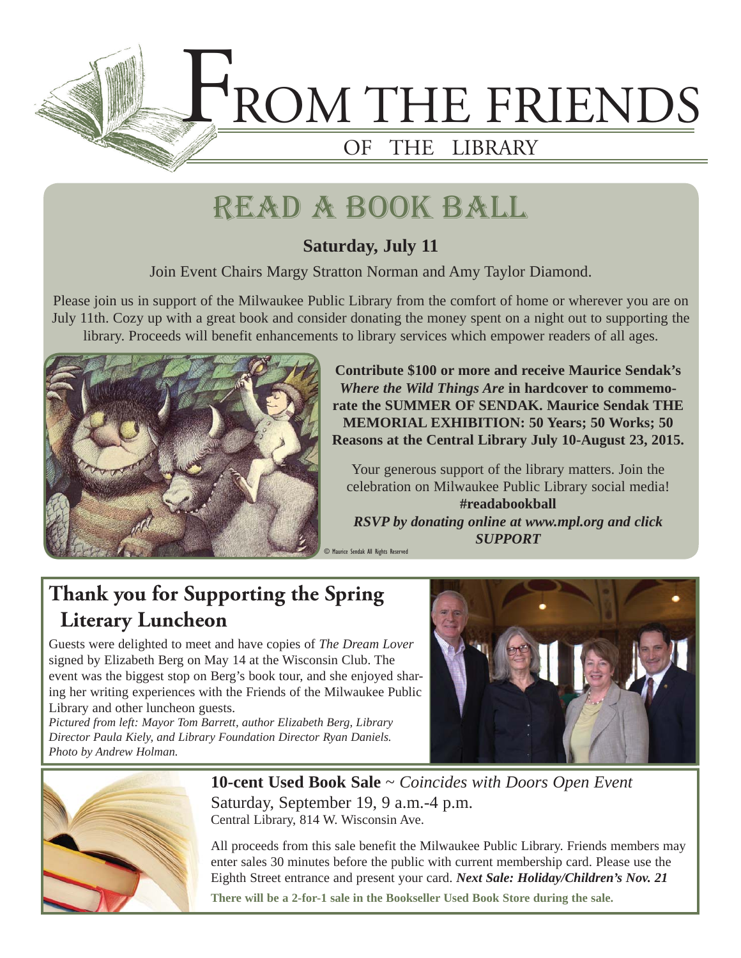

## read a book ball

### **Saturday, July 11**

Join Event Chairs Margy Stratton Norman and Amy Taylor Diamond.

Please join us in support of the Milwaukee Public Library from the comfort of home or wherever you are on July 11th. Cozy up with a great book and consider donating the money spent on a night out to supporting the library. Proceeds will benefit enhancements to library services which empower readers of all ages.



**Contribute \$100 or more and receive Maurice Sendak's**  *Where the Wild Things Are* **in hardcover to commemorate the SUMMER OF SENDAK. Maurice Sendak THE MEMORIAL EXHIBITION: 50 Years; 50 Works; 50 Reasons at the Central Library July 10-August 23, 2015.**

Your generous support of the library matters. Join the celebration on Milwaukee Public Library social media! **#readabookball** *RSVP by donating online at www.mpl.org and click SUPPORT*

### **Thank you for Supporting the Spring Literary Luncheon**

Guests were delighted to meet and have copies of *The Dream Lover* signed by Elizabeth Berg on May 14 at the Wisconsin Club. The event was the biggest stop on Berg's book tour, and she enjoyed sharing her writing experiences with the Friends of the Milwaukee Public Library and other luncheon guests.

*Pictured from left: Mayor Tom Barrett, author Elizabeth Berg, Library Director Paula Kiely, and Library Foundation Director Ryan Daniels. Photo by Andrew Holman.*





**10-cent Used Book Sale** ~ *Coincides with Doors Open Event* Saturday, September 19, 9 a.m.-4 p.m. Central Library, 814 W. Wisconsin Ave.

All proceeds from this sale benefit the Milwaukee Public Library. Friends members may enter sales 30 minutes before the public with current membership card. Please use the Eighth Street entrance and present your card. *Next Sale: Holiday/Children's Nov. 21*

**There will be a 2-for-1 sale in the Bookseller Used Book Store during the sale.**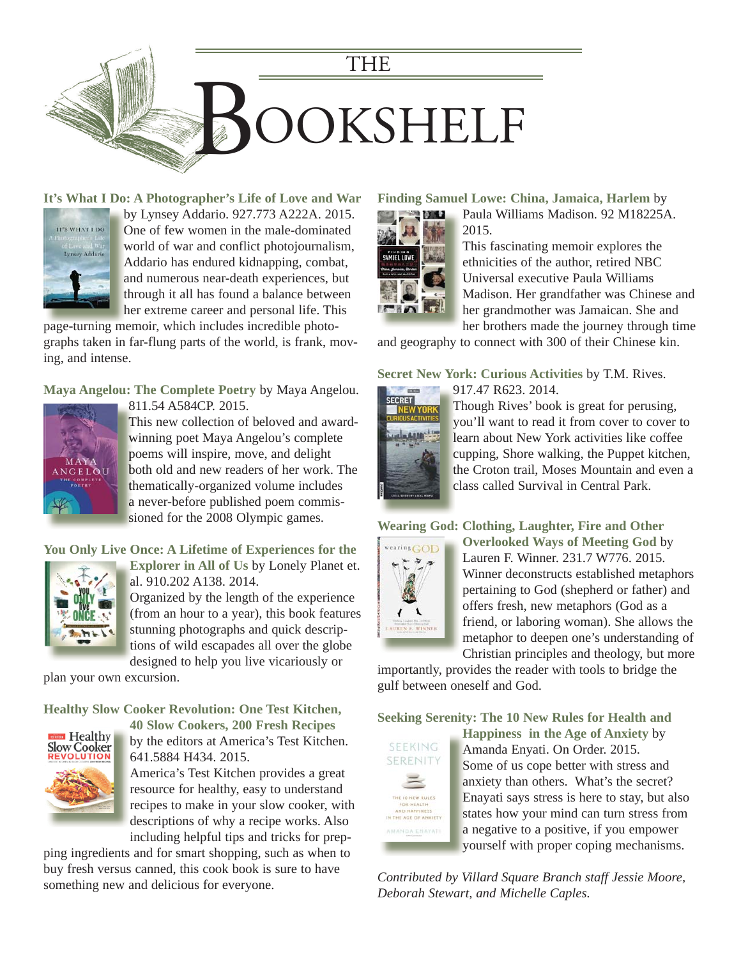

**[It's What I Do: A Photographer's Life of Love and War](https://encore.mcfls.org/iii/encore/record/C__Rb3794612)**



by Lynsey Addario. 927.773 A222A. 2015. b One of few women in the male-dominated O world of war and conflict photojournalism, w Addario has endured kidnapping, combat, A and numerous near-death experiences, but a through it all has found a balance between her extreme career and personal life. This h

page-turning memoir, which includes incredible photographs taken in far-flung parts of the world, is frank, moving, and intense.

**Maya Angelou: The Complete Poetry** by Maya Angelou.



811.54 A584CP. 2015. 8

This new collection of beloved and award-T winning poet Maya Angelou's complete w poems will inspire, move, and delight p [both old and new readers of her work. The](https://encore.mcfls.org/iii/encore/record/C__Rb3816042)  b thematically-organized volume includes th a never-before published poem commis-a sioned for the 2008 Olympic games.

#### **[You Only Live Once: A Lifetime of Experiences for the](https://encore.mcfls.org/iii/encore/record/C__Rb3786628)**



**Explorer in All of Us** by Lonely Planet et. **E** al. 910.202 A138. 2014. a

Organized by the length of the experience O (from an hour to a year), this book features ( stunning photographs and quick descriptions of wild escapades all over the globe t designed to help you live vicariously or

plan your own excursion.

**Healthy Slow Cooker Revolution: One Test Kitchen,** 



**40 Slow Cookers, 200 Fresh Recipes** by the editors at America's Test Kitchen.

641.5884 H434. 2015. America's Test Kitchen provides a great resource for healthy, easy to understand recipes to make in your slow cooker, with descriptions of why a recipe works. Also including helpful tips and tricks for prep-

[ping ingredients and for smart shopping, such as when to](https://encore.mcfls.org/iii/encore/record/C__Rb3806524)  buy fresh versus canned, this cook book is sure to have something new and delicious for everyone.

#### **Finding Samuel Lowe: China, Jamaica, Harlem** by



Paula Williams Madison. 92 M18225A. 2015.

This fascinating memoir explores the ethnicities of the author, retired NBC Universal executive Paula Williams Madison. Her grandfather was Chinese and her grandmother was Jamaican. She and her brothers made the journey through time

[and geography to connect with 300 of their Chinese kin.](https://encore.mcfls.org/iii/encore/record/C__Rb3814085) 

#### **Secret New York: Curious Activities** by T.M. Rives.



Though Rives' book is great for perusing, T you'll want to read it from cover to cover to learn about New York activities like coffee l cupping, Shore walking, the Puppet kitchen, c the Croton trail, Moses Mountain and even a class called Survival in Central Park. c

#### **Wearing God: Clothing, Laughter, Fire and Other**



**Overlooked Ways of Meeting God** by Lauren F. Winner. 231.7 W776. 2015. Winner deconstructs established metaphors pertaining to God (shepherd or father) and offers fresh, new metaphors (God as a friend, or laboring woman). She allows the metaphor to deepen one's understanding of Christian principles and theology, but more

[importantly, provides the reader with tools to bridge the](https://encore.mcfls.org/iii/encore/record/C__Rb3824573)  gulf between oneself and God.

**Seeking Serenity: The 10 New Rules for Health and** 



Happiness in the Age of Anxiety by Amanda Enyati. On Order. 2015. A Some of us cope better with stress and S anxiety than others. What's the secret? a Enayati says stress is here to stay, but also E states how your mind can turn stress from a negative to a positive, if you empower a yourself with proper coping mechanisms. y

*[Contributed by Villard Square Branch staff Jessie Moore,](https://encore.mcfls.org/iii/encore/record/C__Rb3811317)  Deborah Stewart, and Michelle Caples.*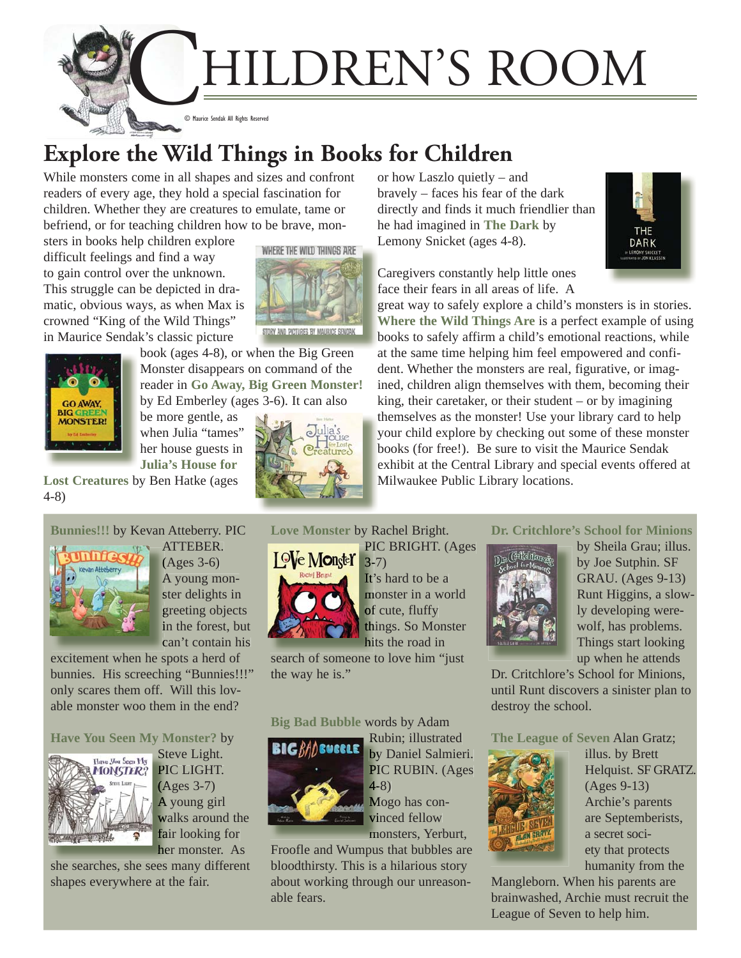HILDREN'S ROOM

© Maurice Sendak All Rights Reserved

## **Explore the Wild Things in Books for Children**

While monsters come in all shapes and sizes and confront readers of every age, they hold a special fascination for children. Whether they are creatures to emulate, tame or befriend, or for teaching children how to be brave, mon-

sters in books help children explore difficult feelings and find a way to gain control over the unknown. This struggle can be depicted in dramatic, obvious ways, as when Max is crowned "King of the Wild Things" [in Maurice Senda](https://encore.mcfls.org/iii/encore/record/C__Rb1729156)k's classic picture



**GO AWAY. MONSTER!** 

Monster disappears on command of the reader in **Go Away, Big Green Monster!**  by Ed Emberley (ages 3-6). It can also be more gentle, as when Julia "tames"

book (ages 4-8), or when the Big Green

her house guests in **Julia's House for** 

**Lost Creatures** by Ben Hatke (ages 4-8)



ATTEBER. A (Ages 3-6) ( A young mon-A ster delights in greeting objects g in the forest, but can't contain his c

excitement when he spots a herd of [bunnies. His screeching "Bunnies!!!"](https://encore.mcfls.org/iii/encore/record/C__Rb3795951) only scares them off. Will this lovable monster woo them in the end?

#### **Have You Seen My Monster?** by



Steve Light. St PIC LIGHT. PI (Ages 3-7) (A A young girl walks around the fair looking for her monster. As

[she searches, she sees many different](https://encore.mcfls.org/iii/encore/record/C__Rb3808948) shapes everywhere at the fair.

**Love Monster** by Rachel Bright.



PIC BRIGHT. (Ages PI 3-7) 3- It's hard to be a



[search of someone to love him "just](https://encore.mcfls.org/iii/encore/record/C__Rb3705674)  the way he is."

#### **Big Bad Bubble** words by Adam



Rubin; illustrated Ru by Daniel Salmieri. PIC RUBIN. (Ages  $4 - 8)$ Mogo has con-M

vinced fellow vi monsters, Yerburt, m

[Froofle and Wumpus that bubbles are](https://encore.mcfls.org/iii/encore/record/C__Rb3737894)  bloodthirsty. This is a hilarious story about working through our unreasonable fears.

or how Laszlo quietly – and bravely – faces his fear of the dark directly and finds it much friendlier tha[n](https://encore.mcfls.org/iii/encore/record/C__Rb3655831)  he had imagined in **The Dark** by Lemony Snicket (ages 4-8).



Caregivers constantly help little ones face their fears in all areas of life. A

great way to safely explore a child's monsters is in stories. g **Where the Wild Things Are** is a perfect example of using **W** books to safely affirm a child's emotional reactions, while b at the same time helping him feel empowered and confident. Whether the monsters are real, figurative, or imagined, children align themselves with them, becoming their king, their caretaker, or their student – or by imagining themselves as the monster! Use your library card to help your child explore by checking out some of these monster books (for free!). Be sure to visit the Maurice Sendak b exhibit at the Central Library and special events offered at Milwaukee Public Library locations. [M](https://encore.mcfls.org/iii/encore/record/C__Rb3776480)

#### **Dr. Critchlore's School for Minions**



by Sheila Grau; illus. by Joe Sutphin. SF GRAU. (Ages 9-13) Runt Higgins, a slowly developing werewolf, has problems. Things start looking up when he attends

Dr. Critchlore's School for Minions, [until Runt discovers a sinister plan to](https://encore.mcfls.org/iii/encore/record/C__Rb3823979)  destroy the school.

**The League of Seven** Alan Gratz;



illus. by Brett Helquist. SF GRATZ. (Ages 9-13) Archie's parents are Septemberists, a secret society that protects humanity from the

Mangleborn. When his parents are [brainwashed, Archie must recruit the](https://encore.mcfls.org/iii/encore/record/C__Rb3781813)  League of Seven to help him.